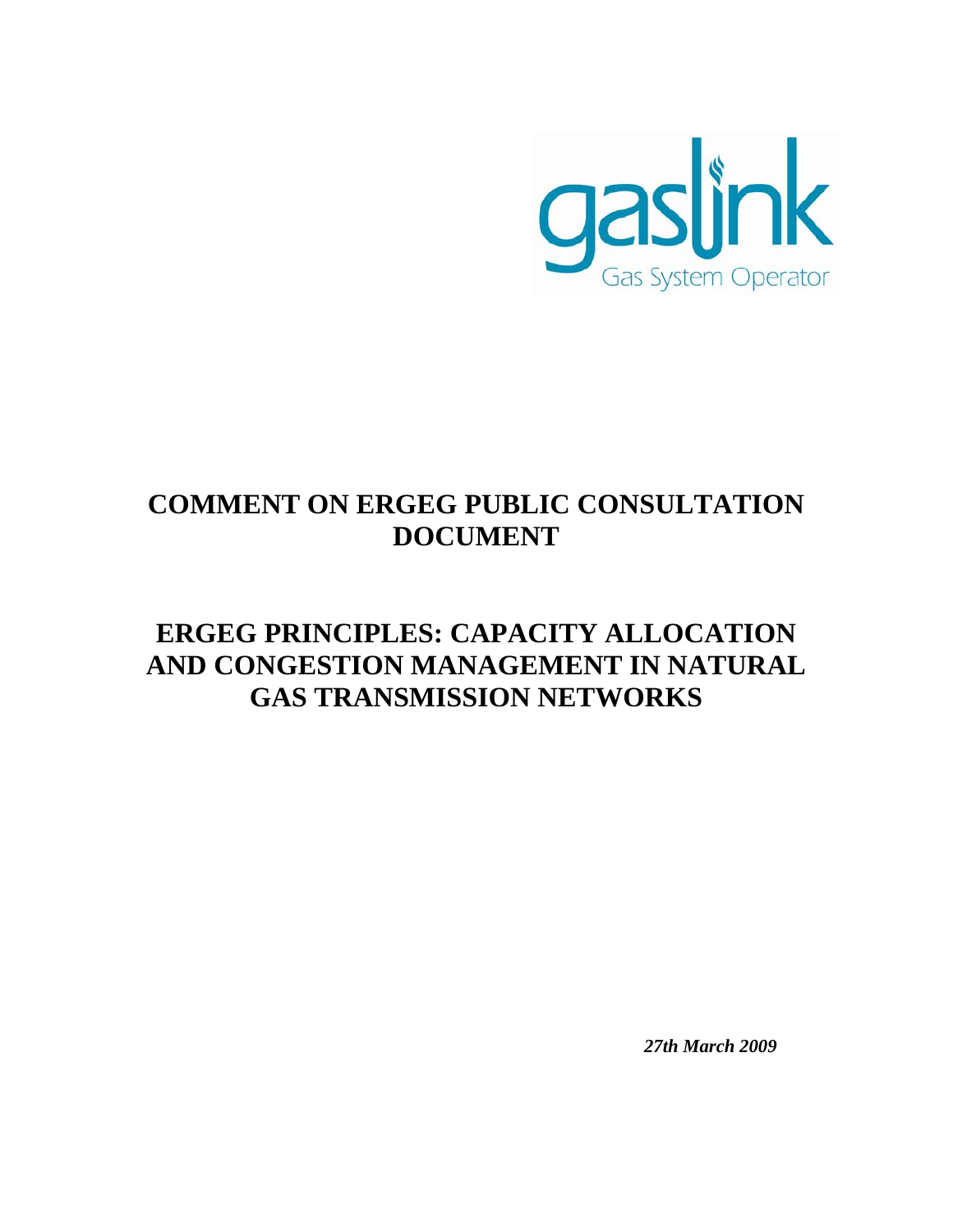

# **COMMENT ON ERGEG PUBLIC CONSULTATION DOCUMENT**

# **ERGEG PRINCIPLES: CAPACITY ALLOCATION AND CONGESTION MANAGEMENT IN NATURAL GAS TRANSMISSION NETWORKS**

*27th March 2009*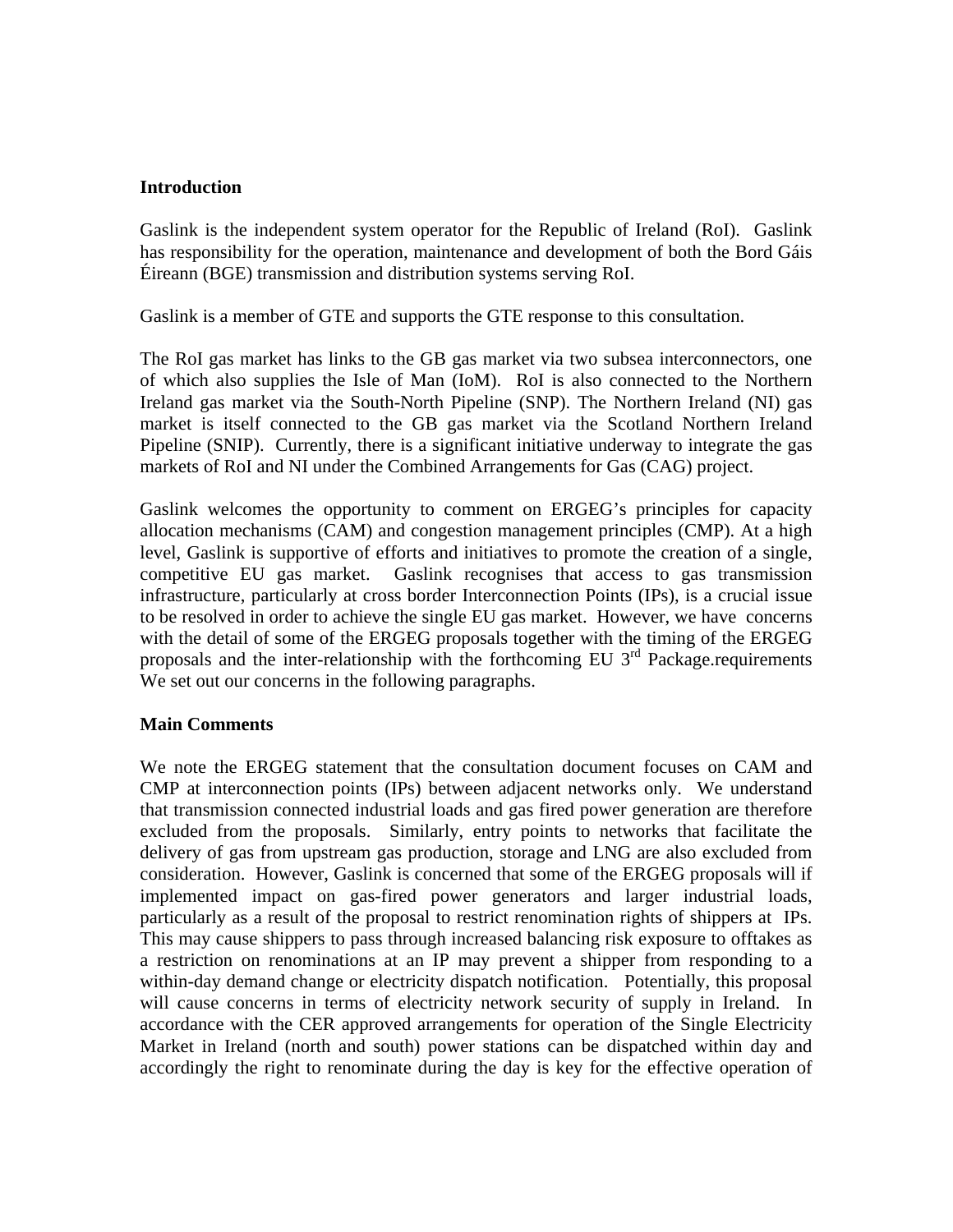#### **Introduction**

Gaslink is the independent system operator for the Republic of Ireland (RoI). Gaslink has responsibility for the operation, maintenance and development of both the Bord Gáis Éireann (BGE) transmission and distribution systems serving RoI.

Gaslink is a member of GTE and supports the GTE response to this consultation.

The RoI gas market has links to the GB gas market via two subsea interconnectors, one of which also supplies the Isle of Man (IoM). RoI is also connected to the Northern Ireland gas market via the South-North Pipeline (SNP). The Northern Ireland (NI) gas market is itself connected to the GB gas market via the Scotland Northern Ireland Pipeline (SNIP). Currently, there is a significant initiative underway to integrate the gas markets of RoI and NI under the Combined Arrangements for Gas (CAG) project.

Gaslink welcomes the opportunity to comment on ERGEG's principles for capacity allocation mechanisms (CAM) and congestion management principles (CMP). At a high level, Gaslink is supportive of efforts and initiatives to promote the creation of a single, competitive EU gas market. Gaslink recognises that access to gas transmission infrastructure, particularly at cross border Interconnection Points (IPs), is a crucial issue to be resolved in order to achieve the single EU gas market. However, we have concerns with the detail of some of the ERGEG proposals together with the timing of the ERGEG proposals and the inter-relationship with the forthcoming EU  $3<sup>rd</sup>$  Package.requirements We set out our concerns in the following paragraphs.

#### **Main Comments**

We note the ERGEG statement that the consultation document focuses on CAM and CMP at interconnection points (IPs) between adjacent networks only. We understand that transmission connected industrial loads and gas fired power generation are therefore excluded from the proposals. Similarly, entry points to networks that facilitate the delivery of gas from upstream gas production, storage and LNG are also excluded from consideration. However, Gaslink is concerned that some of the ERGEG proposals will if implemented impact on gas-fired power generators and larger industrial loads, particularly as a result of the proposal to restrict renomination rights of shippers at IPs. This may cause shippers to pass through increased balancing risk exposure to offtakes as a restriction on renominations at an IP may prevent a shipper from responding to a within-day demand change or electricity dispatch notification. Potentially, this proposal will cause concerns in terms of electricity network security of supply in Ireland. In accordance with the CER approved arrangements for operation of the Single Electricity Market in Ireland (north and south) power stations can be dispatched within day and accordingly the right to renominate during the day is key for the effective operation of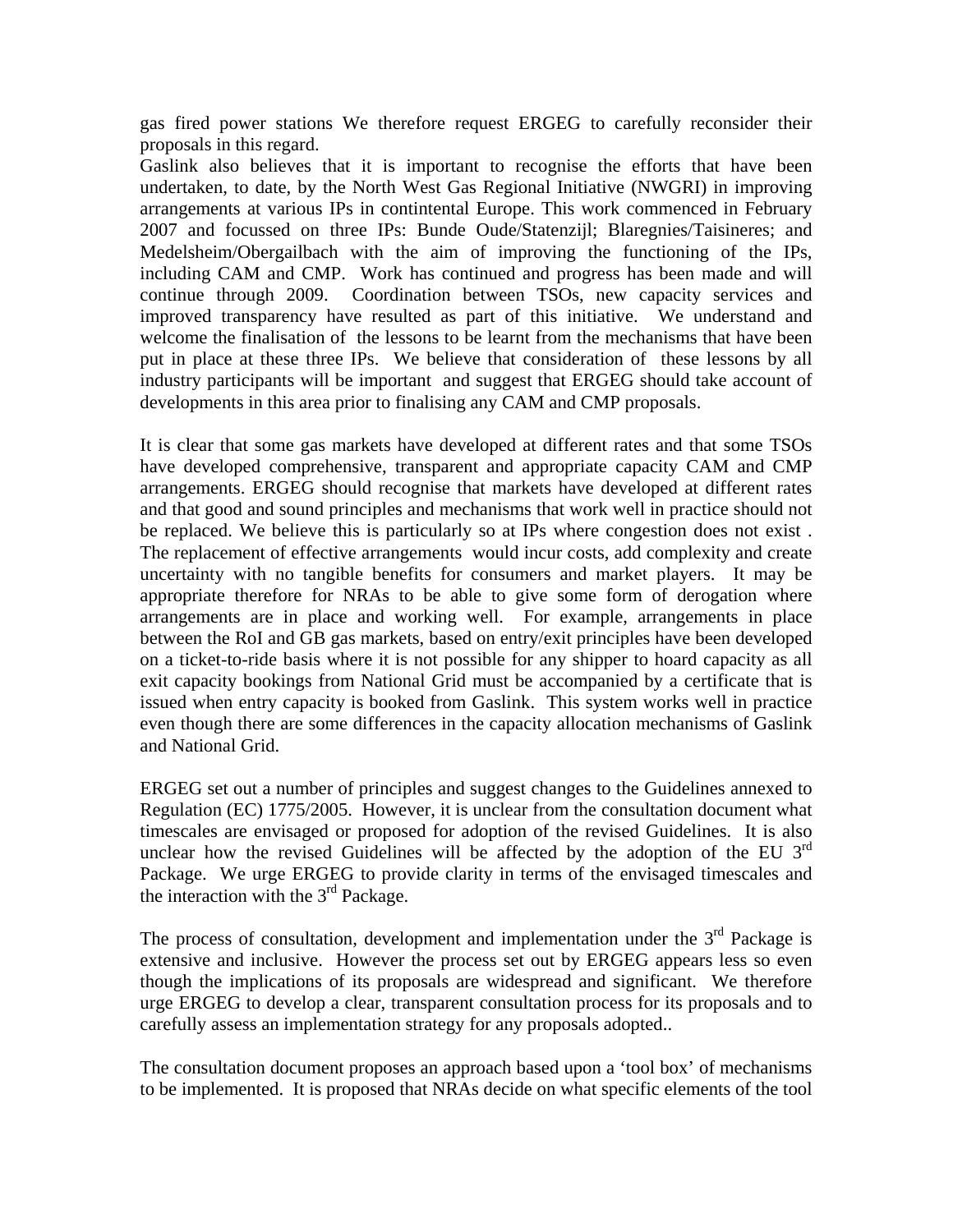gas fired power stations We therefore request ERGEG to carefully reconsider their proposals in this regard.

Gaslink also believes that it is important to recognise the efforts that have been undertaken, to date, by the North West Gas Regional Initiative (NWGRI) in improving arrangements at various IPs in contintental Europe. This work commenced in February 2007 and focussed on three IPs: Bunde Oude/Statenzijl; Blaregnies/Taisineres; and Medelsheim/Obergailbach with the aim of improving the functioning of the IPs, including CAM and CMP. Work has continued and progress has been made and will continue through 2009. Coordination between TSOs, new capacity services and improved transparency have resulted as part of this initiative. We understand and welcome the finalisation of the lessons to be learnt from the mechanisms that have been put in place at these three IPs. We believe that consideration of these lessons by all industry participants will be important and suggest that ERGEG should take account of developments in this area prior to finalising any CAM and CMP proposals.

It is clear that some gas markets have developed at different rates and that some TSOs have developed comprehensive, transparent and appropriate capacity CAM and CMP arrangements. ERGEG should recognise that markets have developed at different rates and that good and sound principles and mechanisms that work well in practice should not be replaced. We believe this is particularly so at IPs where congestion does not exist . The replacement of effective arrangements would incur costs, add complexity and create uncertainty with no tangible benefits for consumers and market players. It may be appropriate therefore for NRAs to be able to give some form of derogation where arrangements are in place and working well. For example, arrangements in place between the RoI and GB gas markets, based on entry/exit principles have been developed on a ticket-to-ride basis where it is not possible for any shipper to hoard capacity as all exit capacity bookings from National Grid must be accompanied by a certificate that is issued when entry capacity is booked from Gaslink. This system works well in practice even though there are some differences in the capacity allocation mechanisms of Gaslink and National Grid.

ERGEG set out a number of principles and suggest changes to the Guidelines annexed to Regulation (EC) 1775/2005. However, it is unclear from the consultation document what timescales are envisaged or proposed for adoption of the revised Guidelines. It is also unclear how the revised Guidelines will be affected by the adoption of the EU  $3<sup>rd</sup>$ Package. We urge ERGEG to provide clarity in terms of the envisaged timescales and the interaction with the 3rd Package.

The process of consultation, development and implementation under the  $3<sup>rd</sup>$  Package is extensive and inclusive. However the process set out by ERGEG appears less so even though the implications of its proposals are widespread and significant. We therefore urge ERGEG to develop a clear, transparent consultation process for its proposals and to carefully assess an implementation strategy for any proposals adopted..

The consultation document proposes an approach based upon a 'tool box' of mechanisms to be implemented. It is proposed that NRAs decide on what specific elements of the tool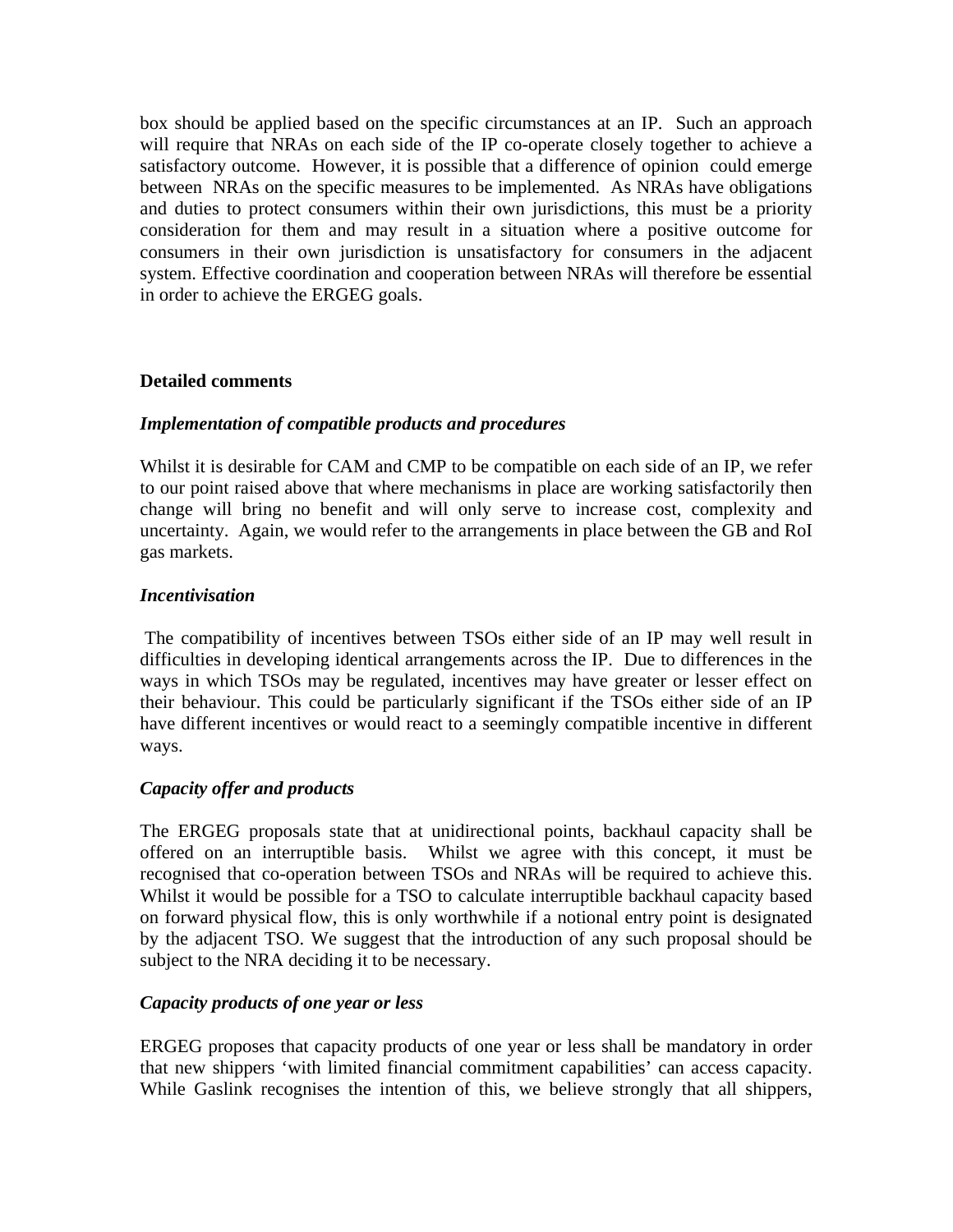box should be applied based on the specific circumstances at an IP. Such an approach will require that NRAs on each side of the IP co-operate closely together to achieve a satisfactory outcome. However, it is possible that a difference of opinion could emerge between NRAs on the specific measures to be implemented. As NRAs have obligations and duties to protect consumers within their own jurisdictions, this must be a priority consideration for them and may result in a situation where a positive outcome for consumers in their own jurisdiction is unsatisfactory for consumers in the adjacent system. Effective coordination and cooperation between NRAs will therefore be essential in order to achieve the ERGEG goals.

### **Detailed comments**

### *Implementation of compatible products and procedures*

Whilst it is desirable for CAM and CMP to be compatible on each side of an IP, we refer to our point raised above that where mechanisms in place are working satisfactorily then change will bring no benefit and will only serve to increase cost, complexity and uncertainty. Again, we would refer to the arrangements in place between the GB and RoI gas markets.

### *Incentivisation*

 The compatibility of incentives between TSOs either side of an IP may well result in difficulties in developing identical arrangements across the IP. Due to differences in the ways in which TSOs may be regulated, incentives may have greater or lesser effect on their behaviour. This could be particularly significant if the TSOs either side of an IP have different incentives or would react to a seemingly compatible incentive in different ways.

# *Capacity offer and products*

The ERGEG proposals state that at unidirectional points, backhaul capacity shall be offered on an interruptible basis. Whilst we agree with this concept, it must be recognised that co-operation between TSOs and NRAs will be required to achieve this. Whilst it would be possible for a TSO to calculate interruptible backhaul capacity based on forward physical flow, this is only worthwhile if a notional entry point is designated by the adjacent TSO. We suggest that the introduction of any such proposal should be subject to the NRA deciding it to be necessary.

#### *Capacity products of one year or less*

ERGEG proposes that capacity products of one year or less shall be mandatory in order that new shippers 'with limited financial commitment capabilities' can access capacity. While Gaslink recognises the intention of this, we believe strongly that all shippers,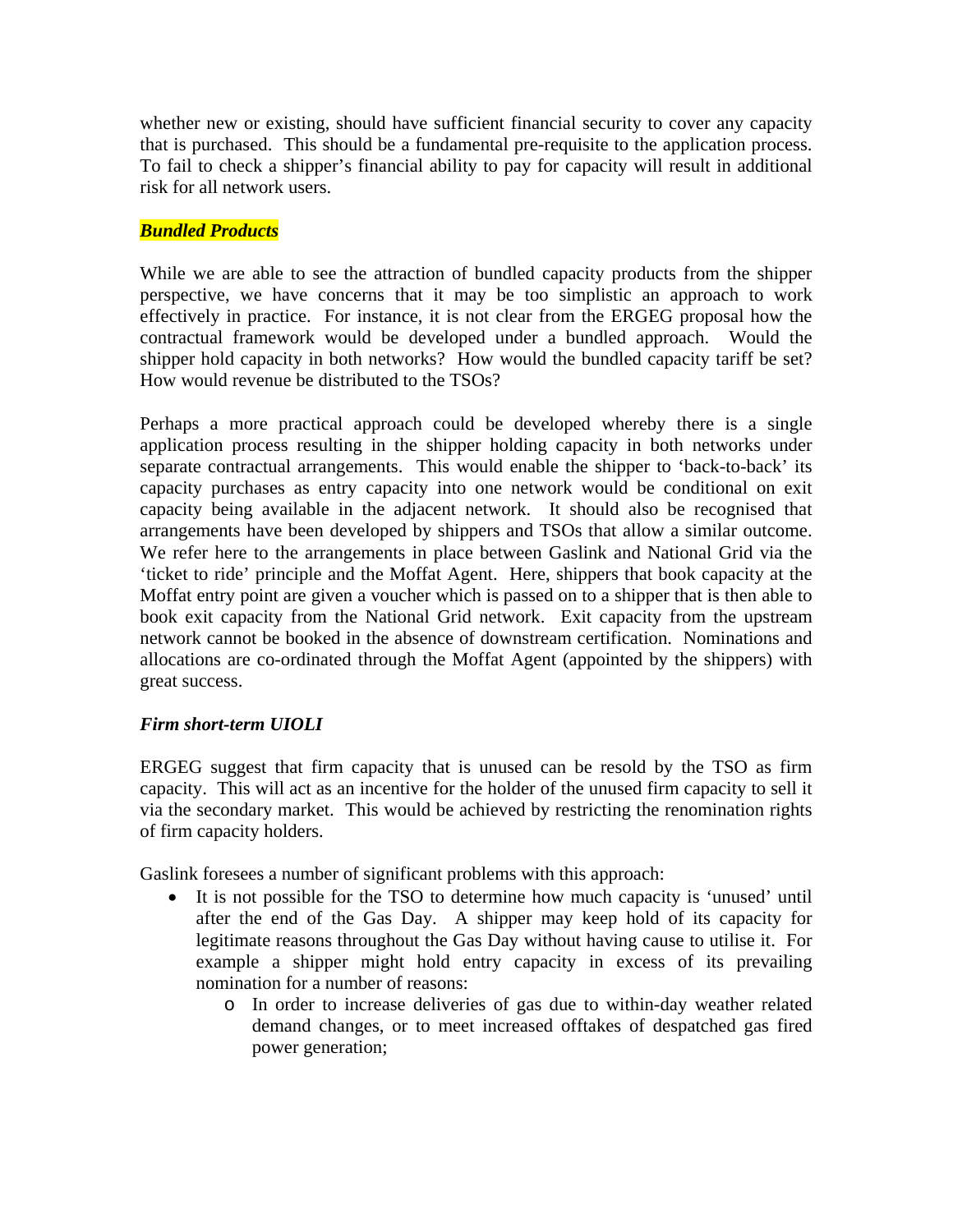whether new or existing, should have sufficient financial security to cover any capacity that is purchased. This should be a fundamental pre-requisite to the application process. To fail to check a shipper's financial ability to pay for capacity will result in additional risk for all network users.

# *Bundled Products*

While we are able to see the attraction of bundled capacity products from the shipper perspective, we have concerns that it may be too simplistic an approach to work effectively in practice. For instance, it is not clear from the ERGEG proposal how the contractual framework would be developed under a bundled approach. Would the shipper hold capacity in both networks? How would the bundled capacity tariff be set? How would revenue be distributed to the TSOs?

Perhaps a more practical approach could be developed whereby there is a single application process resulting in the shipper holding capacity in both networks under separate contractual arrangements. This would enable the shipper to 'back-to-back' its capacity purchases as entry capacity into one network would be conditional on exit capacity being available in the adjacent network. It should also be recognised that arrangements have been developed by shippers and TSOs that allow a similar outcome. We refer here to the arrangements in place between Gaslink and National Grid via the 'ticket to ride' principle and the Moffat Agent. Here, shippers that book capacity at the Moffat entry point are given a voucher which is passed on to a shipper that is then able to book exit capacity from the National Grid network. Exit capacity from the upstream network cannot be booked in the absence of downstream certification. Nominations and allocations are co-ordinated through the Moffat Agent (appointed by the shippers) with great success.

# *Firm short-term UIOLI*

ERGEG suggest that firm capacity that is unused can be resold by the TSO as firm capacity. This will act as an incentive for the holder of the unused firm capacity to sell it via the secondary market. This would be achieved by restricting the renomination rights of firm capacity holders.

Gaslink foresees a number of significant problems with this approach:

- It is not possible for the TSO to determine how much capacity is 'unused' until after the end of the Gas Day. A shipper may keep hold of its capacity for legitimate reasons throughout the Gas Day without having cause to utilise it. For example a shipper might hold entry capacity in excess of its prevailing nomination for a number of reasons:
	- o In order to increase deliveries of gas due to within-day weather related demand changes, or to meet increased offtakes of despatched gas fired power generation;